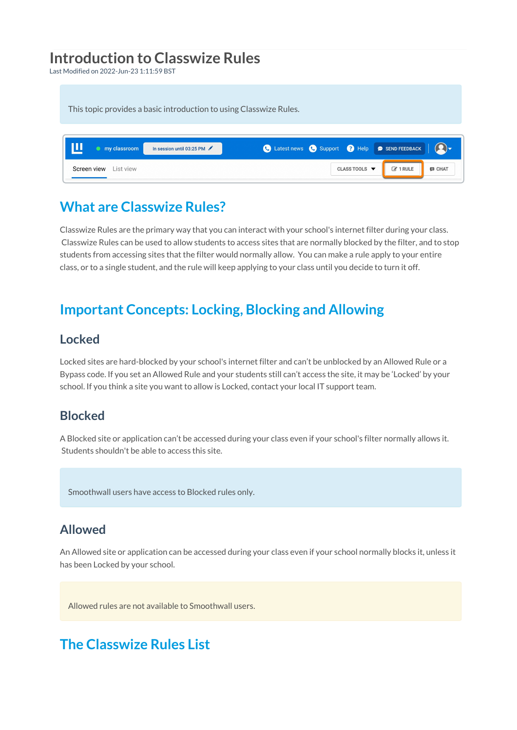# **Introduction to Classwize Rules**

Last Modified on 2022-Jun-23 1:11:59 BST

This topic provides a basic introduction to using Classwize Rules.

| my classroom          | In session until 03:25 PM |  |               | C Latest news C Support C Help @ SEND FEEDBACK |               |
|-----------------------|---------------------------|--|---------------|------------------------------------------------|---------------|
| Screen view List view |                           |  | CLASS TOOLS ▼ | $\mathbb{Z}$ 1 RULE                            | <b>E</b> CHAT |

## **What are Classwize Rules?**

Classwize Rules are the primary way that you can interact with your school's internet filter during your class. Classwize Rules can be used to allow students to access sites that are normally blocked by the filter, and to stop students from accessing sites that the filter would normally allow. You can make a rule apply to your entire class, or to a single student, and the rule will keep applying to your class until you decide to turn it off.

## **Important Concepts: Locking, Blocking and Allowing**

### **Locked**

Locked sites are hard-blocked by your school's internet filter and can't be unblocked by an Allowed Rule or a Bypass code. If you set an Allowed Rule and your students still can't access the site, it may be 'Locked' by your school. If you think a site you want to allow is Locked, contact your local IT support team.

### **Blocked**

A Blocked site or application can't be accessed during your class even if your school's filter normally allows it. Students shouldn't be able to access this site.

Smoothwall users have access to Blocked rules only.

### **Allowed**

An Allowed site or application can be accessed during your class even if your school normally blocks it, unless it has been Locked by your school.

Allowed rules are not available to Smoothwall users.

## **The Classwize Rules List**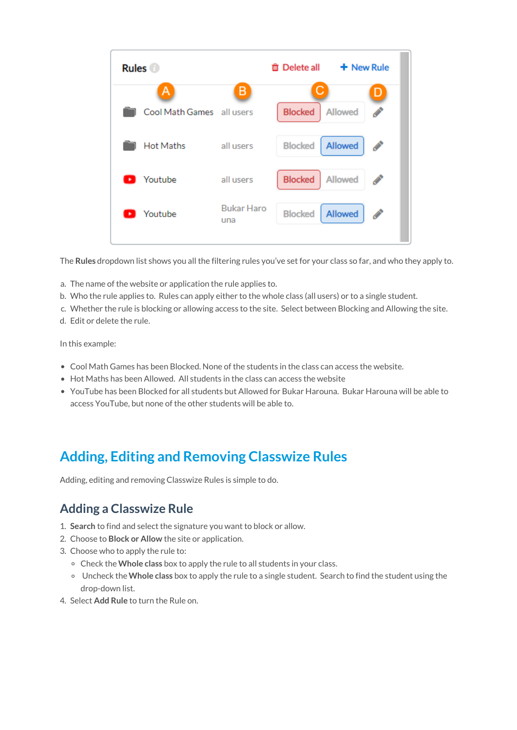| <b>Rules</b>     |                                | <sup>命</sup> Delete all             | $+$ New Rule                      |
|------------------|--------------------------------|-------------------------------------|-----------------------------------|
| A                | B<br>Cool Math Games all users | С<br><b>Blocked</b>                 | Allowed                           |
| <b>Hot Maths</b> | all users                      | <b>Blocked</b>                      | <b>Allowed</b><br><b>CONTRACT</b> |
| Youtube<br>٠     | all users                      | <b>Blocked</b>                      | Allowed<br><b>Contract</b>        |
| Youtube          | una                            | <b>Bukar Haro</b><br><b>Blocked</b> | <b>Allowed</b><br><b>CONTRACT</b> |

The **Rules** dropdown list shows you all the filtering rules you've set for your class so far, and who they apply to.

- a. The name of the website or application the rule applies to.
- b. Who the rule applies to. Rules can apply either to the whole class (all users) or to a single student.
- c. Whether the rule is blocking or allowing access to the site. Select between Blocking and Allowing the site.
- d. Edit or delete the rule.

In this example:

- Cool Math Games has been Blocked. None of the students in the class can access the website.
- Hot Maths has been Allowed. All students in the class can access the website
- YouTube has been Blocked for all students but Allowed for Bukar Harouna. Bukar Harouna will be able to access YouTube, but none of the other students will be able to.

# **Adding, Editing and Removing Classwize Rules**

Adding, editing and removing Classwize Rules is simple to do.

### **Adding a Classwize Rule**

- 1. **Search** to find and select the signature you want to block or allow.
- 2. Choose to **Block or Allow** the site or application.
- 3. Choose who to apply the rule to:
	- Check the**Whole class** box to apply the rule to all students in your class.
	- Uncheck the**Whole class** box to apply the rule to a single student. Search to find the student using the drop-down list.
- 4. Select **Add Rule** to turn the Rule on.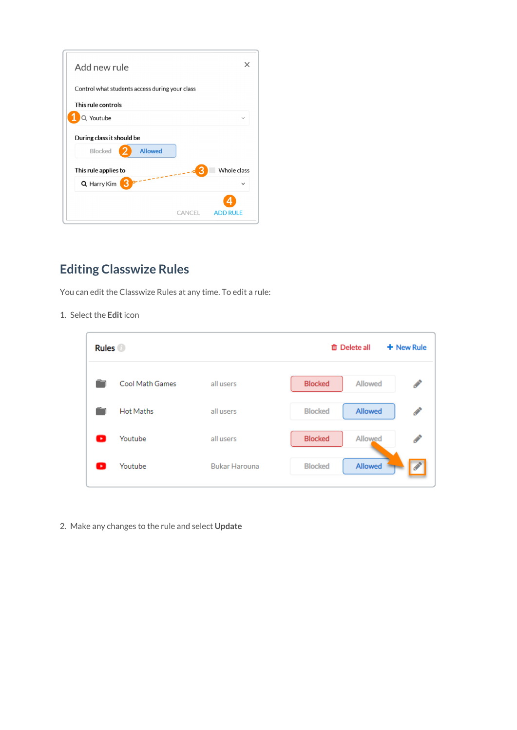| Add new rule                                                  |        |              |
|---------------------------------------------------------------|--------|--------------|
| Control what students access during your class                |        |              |
| This rule controls                                            |        |              |
| Q Youtube                                                     |        |              |
| During class it should be<br><b>Allowed</b><br><b>Blocked</b> |        |              |
| This rule applies to                                          |        | Whole class  |
| З<br>Q Harry Kim                                              |        | $\checkmark$ |
|                                                               | CANCEL | ADD RULE     |

## **Editing Classwize Rules**

You can edit the Classwize Rules at any time. To edit a rule:

1. Select the **Edit** icon

| <b>Rules</b> |                  |                      | + New Rule<br><b>面</b> Delete all                   |
|--------------|------------------|----------------------|-----------------------------------------------------|
|              | Cool Math Games  | all users            | <b>Blocked</b><br>ℐ<br>Allowed                      |
|              | <b>Hot Maths</b> | all users            | <b>Allowed</b><br><b>Blocked</b><br><b>Contract</b> |
|              | Youtube          | all users            | <b>Blocked</b><br>Allowed<br>♦                      |
|              | Youtube          | <b>Bukar Harouna</b> | Allowed<br><b>Blocked</b>                           |

2. Make any changes to the rule and select **Update**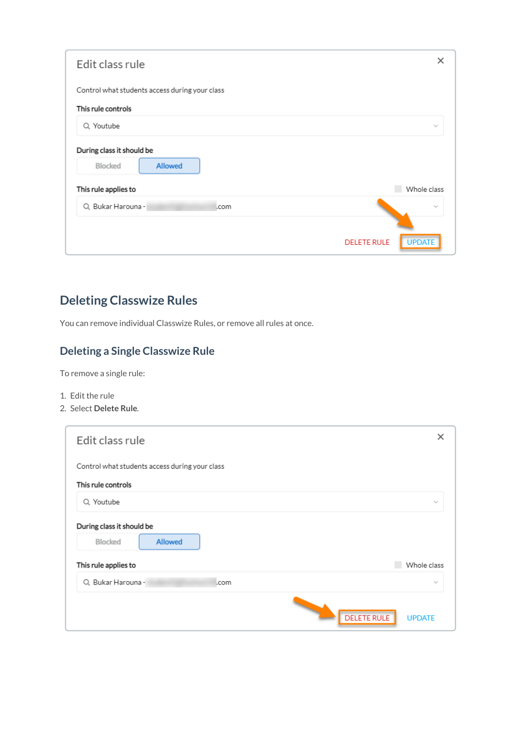| Edit class rule                                               | ×                                   |
|---------------------------------------------------------------|-------------------------------------|
| Control what students access during your class                |                                     |
| This rule controls                                            |                                     |
| Q Youtube                                                     | $\sim$                              |
| During class it should be<br><b>Allowed</b><br><b>Blocked</b> |                                     |
| This rule applies to                                          | Whole class                         |
| Q Bukar Harouna -<br>.com                                     | $\sim$                              |
|                                                               | <b>UPDATE</b><br><b>DELETE RULE</b> |
|                                                               |                                     |

## **Deleting Classwize Rules**

You can remove individual Classwize Rules, or remove all rules at once.

### **Deleting a Single Classwize Rule**

To remove a single rule:

- 1. Edit the rule
- 2. Select **Delete Rule**.

| Edit class rule                                | ×                                   |
|------------------------------------------------|-------------------------------------|
|                                                |                                     |
| Control what students access during your class |                                     |
| This rule controls                             |                                     |
| Q Youtube                                      | $\sim$                              |
| During class it should be                      |                                     |
| <b>Allowed</b><br><b>Blocked</b>               |                                     |
| This rule applies to                           | Whole class                         |
| Q Bukar Harouna -<br>.com                      | $\sim$                              |
|                                                |                                     |
|                                                | <b>DELETE RULE</b><br><b>UPDATE</b> |